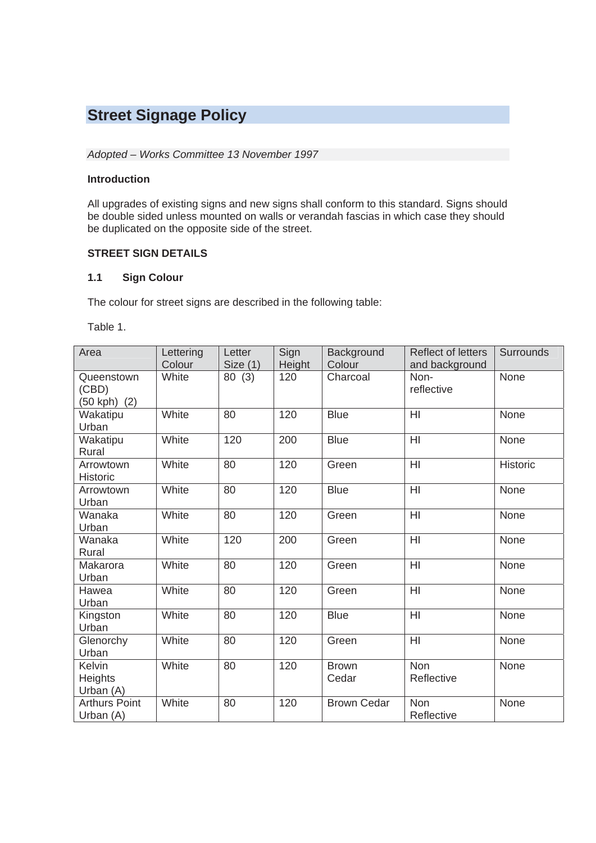# **Street Signage Policy**

#### *Adopted – Works Committee 13 November 1997*

#### **Introduction**

All upgrades of existing signs and new signs shall conform to this standard. Signs should be double sided unless mounted on walls or verandah fascias in which case they should be duplicated on the opposite side of the street.

#### **STREET SIGN DETAILS**

#### **1.1 Sign Colour**

The colour for street signs are described in the following table:

Table 1.

| Area                                | Lettering | Letter   | Sign   | Background            | <b>Reflect of letters</b> | <b>Surrounds</b> |
|-------------------------------------|-----------|----------|--------|-----------------------|---------------------------|------------------|
|                                     | Colour    | Size (1) | Height | Colour                | and background            |                  |
| Queenstown<br>(CBD)<br>(50 kph) (2) | White     | 80(3)    | 120    | Charcoal              | Non-<br>reflective        | None             |
| Wakatipu<br>Urban                   | White     | 80       | 120    | <b>Blue</b>           | HI                        | None             |
| Wakatipu<br>Rural                   | White     | 120      | 200    | <b>Blue</b>           | H <sub>l</sub>            | None             |
| Arrowtown<br><b>Historic</b>        | White     | 80       | 120    | Green                 | H <sub>l</sub>            | Historic         |
| Arrowtown<br>Urban                  | White     | 80       | 120    | <b>Blue</b>           | HI                        | None             |
| Wanaka<br>Urban                     | White     | 80       | 120    | Green                 | $\overline{H}$            | None             |
| Wanaka<br>Rural                     | White     | 120      | 200    | Green                 | HI                        | None             |
| Makarora<br>Urban                   | White     | 80       | 120    | Green                 | H <sub>l</sub>            | None             |
| Hawea<br>Urban                      | White     | 80       | 120    | Green                 | HI                        | None             |
| Kingston<br>Urban                   | White     | 80       | 120    | <b>Blue</b>           | H <sub>l</sub>            | None             |
| Glenorchy<br>Urban                  | White     | 80       | 120    | Green                 | HI                        | None             |
| Kelvin<br>Heights<br>Urban (A)      | White     | 80       | 120    | <b>Brown</b><br>Cedar | <b>Non</b><br>Reflective  | None             |
| <b>Arthurs Point</b><br>Urban (A)   | White     | 80       | 120    | <b>Brown Cedar</b>    | Non<br>Reflective         | None             |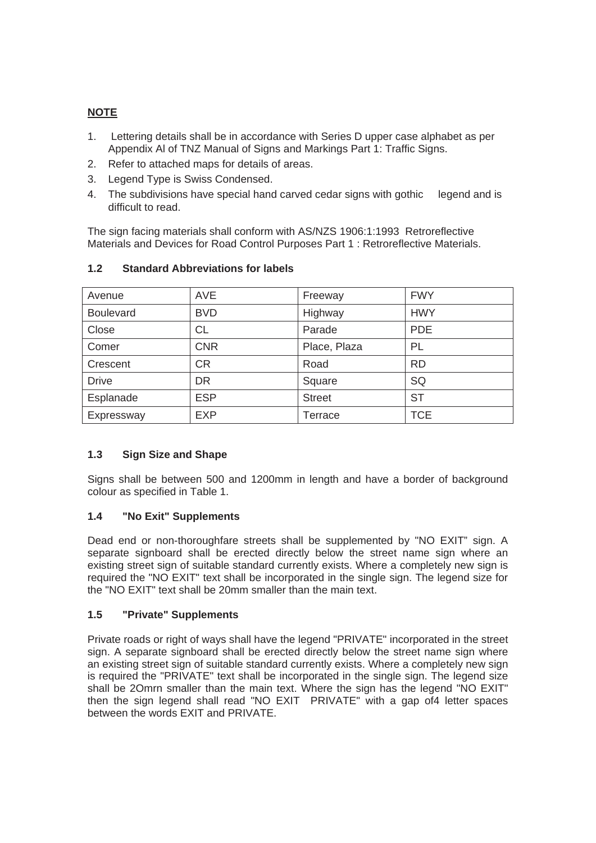## **NOTE**

- 1. Lettering details shall be in accordance with Series D upper case alphabet as per Appendix AI of TNZ Manual of Signs and Markings Part 1: Traffic Signs.
- 2. Refer to attached maps for details of areas.
- 3. Legend Type is Swiss Condensed.
- 4. The subdivisions have special hand carved cedar signs with gothic legend and is difficult to read.

The sign facing materials shall conform with AS/NZS 1906:1:1993 Retroreflective Materials and Devices for Road Control Purposes Part 1 : Retroreflective Materials.

| Avenue           | <b>AVE</b> | Freeway       | <b>FWY</b> |
|------------------|------------|---------------|------------|
| <b>Boulevard</b> | <b>BVD</b> | Highway       | <b>HWY</b> |
| Close            | СL         | Parade        | <b>PDE</b> |
| Comer            | <b>CNR</b> | Place, Plaza  | PL         |
| Crescent         | <b>CR</b>  | Road          | <b>RD</b>  |
| <b>Drive</b>     | <b>DR</b>  | Square        | SQ         |
| Esplanade        | <b>ESP</b> | <b>Street</b> | <b>ST</b>  |
| Expressway       | <b>EXP</b> | Terrace       | <b>TCE</b> |

## **1.2 Standard Abbreviations for labels**

## **1.3 Sign Size and Shape**

Signs shall be between 500 and 1200mm in length and have a border of background colour as specified in Table 1.

## **1.4 "No Exit" Supplements**

Dead end or non-thoroughfare streets shall be supplemented by "NO EXIT" sign. A separate signboard shall be erected directly below the street name sign where an existing street sign of suitable standard currently exists. Where a completely new sign is required the "NO EXIT" text shall be incorporated in the single sign. The legend size for the "NO EXIT" text shall be 20mm smaller than the main text.

## **1.5 "Private" Supplements**

Private roads or right of ways shall have the legend "PRIVATE" incorporated in the street sign. A separate signboard shall be erected directly below the street name sign where an existing street sign of suitable standard currently exists. Where a completely new sign is required the "PRIVATE" text shall be incorporated in the single sign. The legend size shall be 2Omrn smaller than the main text. Where the sign has the legend "NO EXIT" then the sign legend shall read "NO EXIT PRIVATE" with a gap of4 letter spaces between the words EXIT and PRIVATE.